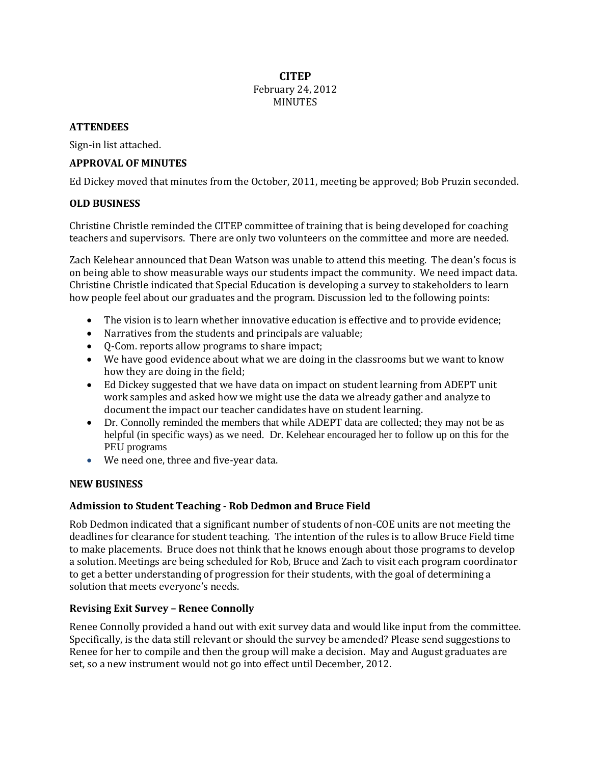### **CITEP** February 24, 2012 MINUTES

#### **ATTENDEES**

Sign-in list attached.

## **APPROVAL OF MINUTES**

Ed Dickey moved that minutes from the October, 2011, meeting be approved; Bob Pruzin seconded.

### **OLD BUSINESS**

Christine Christle reminded the CITEP committee of training that is being developed for coaching teachers and supervisors. There are only two volunteers on the committee and more are needed.

Zach Kelehear announced that Dean Watson was unable to attend this meeting. The dean's focus is on being able to show measurable ways our students impact the community. We need impact data. Christine Christle indicated that Special Education is developing a survey to stakeholders to learn how people feel about our graduates and the program. Discussion led to the following points:

- The vision is to learn whether innovative education is effective and to provide evidence;
- Narratives from the students and principals are valuable;
- Q-Com. reports allow programs to share impact;
- We have good evidence about what we are doing in the classrooms but we want to know how they are doing in the field;
- Ed Dickey suggested that we have data on impact on student learning from ADEPT unit work samples and asked how we might use the data we already gather and analyze to document the impact our teacher candidates have on student learning.
- Dr. Connolly reminded the members that while ADEPT data are collected; they may not be as helpful (in specific ways) as we need. Dr. Kelehear encouraged her to follow up on this for the PEU programs
- We need one, three and five-year data.

#### **NEW BUSINESS**

#### **Admission to Student Teaching - Rob Dedmon and Bruce Field**

Rob Dedmon indicated that a significant number of students of non-COE units are not meeting the deadlines for clearance for student teaching. The intention of the rules is to allow Bruce Field time to make placements. Bruce does not think that he knows enough about those programs to develop a solution. Meetings are being scheduled for Rob, Bruce and Zach to visit each program coordinator to get a better understanding of progression for their students, with the goal of determining a solution that meets everyone's needs.

## **Revising Exit Survey – Renee Connolly**

Renee Connolly provided a hand out with exit survey data and would like input from the committee. Specifically, is the data still relevant or should the survey be amended? Please send suggestions to Renee for her to compile and then the group will make a decision. May and August graduates are set, so a new instrument would not go into effect until December, 2012.